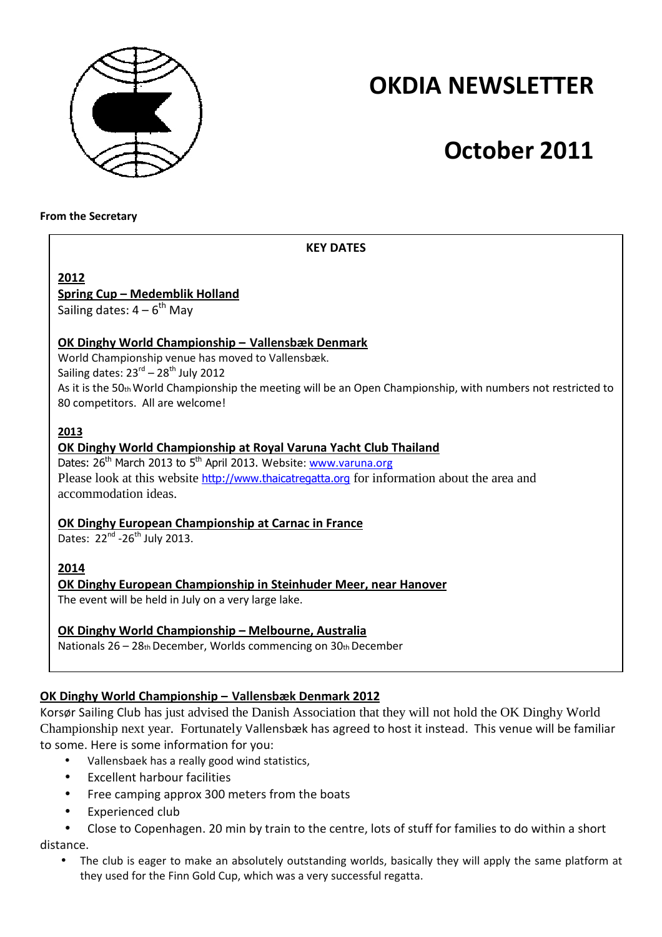

## **OKDIA NEWSLETTER**

# **October 2011**

**From the Secretary** 

## **KEY DATES**

**2012**

## **Spring Cup – Medemblik Holland**

Sailing dates:  $4 - 6^{th}$  May

## **OK Dinghy World Championship – Vallensbæk Denmark**

World Championship venue has moved to Vallensbæk.

Sailing dates:  $23<sup>rd</sup> - 28<sup>th</sup>$  July 2012

As it is the 50th World Championship the meeting will be an Open Championship, with numbers not restricted to 80 competitors. All are welcome!

## **2013**

## **OK Dinghy World Championship at Royal Varuna Yacht Club Thailand**

Dates:  $26<sup>th</sup>$  March 2013 to  $5<sup>th</sup>$  April 2013. Website: www.varuna.org Please look at this website http://www.thaicatregatta.org for information about the area and accommodation ideas.

#### **OK Dinghy European Championship at Carnac in France**

Dates:  $22^{nd}$  -26<sup>th</sup> July 2013.

## **2014**

## **OK Dinghy European Championship in Steinhuder Meer, near Hanover**

The event will be held in July on a very large lake.

## **OK Dinghy World Championship – Melbourne, Australia**

Nationals 26 – 28th December, Worlds commencing on 30th December

## **OK Dinghy World Championship – Vallensbæk Denmark 2012**

Korsør Sailing Club has just advised the Danish Association that they will not hold the OK Dinghy World Championship next year. Fortunately Vallensbæk has agreed to host it instead. This venue will be familiar to some. Here is some information for you:

- Vallensbaek has a really good wind statistics,
- Excellent harbour facilities
- Free camping approx 300 meters from the boats
- Experienced club
- Close to Copenhagen. 20 min by train to the centre, lots of stuff for families to do within a short distance.
	- The club is eager to make an absolutely outstanding worlds, basically they will apply the same platform at they used for the Finn Gold Cup, which was a very successful regatta.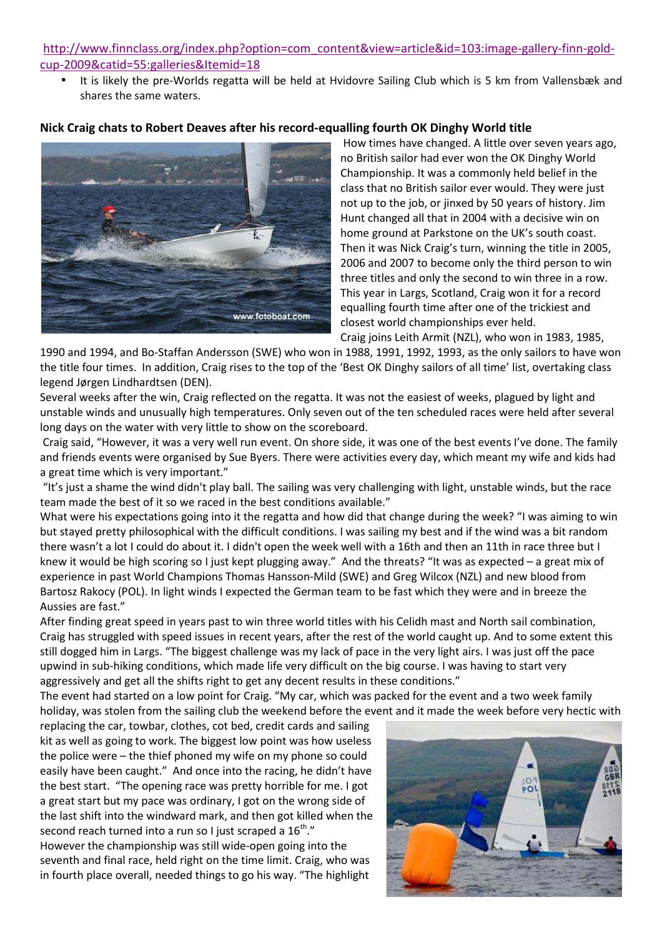#### http://www.finnclass.org/index.php?option=com\_content&view=article&id=103:image-gallery-finn-goldcup-2009&catid=55:galleries&Itemid=18

• It is likely the pre-Worlds regatta will be held at Hvidovre Sailing Club which is 5 km from Vallensbæk and shares the same waters.

#### **Nick Craig chats to Robert Deaves after his record-equalling fourth OK Dinghy World title**



 How times have changed. A little over seven years ago, no British sailor had ever won the OK Dinghy World Championship. It was a commonly held belief in the class that no British sailor ever would. They were just not up to the job, or jinxed by 50 years of history. Jim Hunt changed all that in 2004 with a decisive win on home ground at Parkstone on the UK's south coast. Then it was Nick Craig's turn, winning the title in 2005, 2006 and 2007 to become only the third person to win three titles and only the second to win three in a row. This year in Largs, Scotland, Craig won it for a record equalling fourth time after one of the trickiest and closest world championships ever held.

Craig joins Leith Armit (NZL), who won in 1983, 1985,

1990 and 1994, and Bo-Staffan Andersson (SWE) who won in 1988, 1991, 1992, 1993, as the only sailors to have won the title four times. In addition, Craig rises to the top of the 'Best OK Dinghy sailors of all time' list, overtaking class legend Jørgen Lindhardtsen (DEN).

Several weeks after the win, Craig reflected on the regatta. It was not the easiest of weeks, plagued by light and unstable winds and unusually high temperatures. Only seven out of the ten scheduled races were held after several long days on the water with very little to show on the scoreboard.

 Craig said, "However, it was a very well run event. On shore side, it was one of the best events I've done. The family and friends events were organised by Sue Byers. There were activities every day, which meant my wife and kids had a great time which is very important."

 "It's just a shame the wind didn't play ball. The sailing was very challenging with light, unstable winds, but the race team made the best of it so we raced in the best conditions available."

What were his expectations going into it the regatta and how did that change during the week? "I was aiming to win but stayed pretty philosophical with the difficult conditions. I was sailing my best and if the wind was a bit random there wasn't a lot I could do about it. I didn't open the week well with a 16th and then an 11th in race three but I knew it would be high scoring so I just kept plugging away." And the threats? "It was as expected – a great mix of experience in past World Champions Thomas Hansson-Mild (SWE) and Greg Wilcox (NZL) and new blood from Bartosz Rakocy (POL). In light winds I expected the German team to be fast which they were and in breeze the Aussies are fast."

After finding great speed in years past to win three world titles with his Celidh mast and North sail combination, Craig has struggled with speed issues in recent years, after the rest of the world caught up. And to some extent this still dogged him in Largs. "The biggest challenge was my lack of pace in the very light airs. I was just off the pace upwind in sub-hiking conditions, which made life very difficult on the big course. I was having to start very aggressively and get all the shifts right to get any decent results in these conditions."

The event had started on a low point for Craig. "My car, which was packed for the event and a two week family holiday, was stolen from the sailing club the weekend before the event and it made the week before very hectic with

replacing the car, towbar, clothes, cot bed, credit cards and sailing kit as well as going to work. The biggest low point was how useless the police were – the thief phoned my wife on my phone so could easily have been caught." And once into the racing, he didn't have the best start. "The opening race was pretty horrible for me. I got a great start but my pace was ordinary, I got on the wrong side of the last shift into the windward mark, and then got killed when the second reach turned into a run so I just scraped a  $16<sup>th</sup>$ ." However the championship was still wide-open going into the

seventh and final race, held right on the time limit. Craig, who was in fourth place overall, needed things to go his way. "The highlight

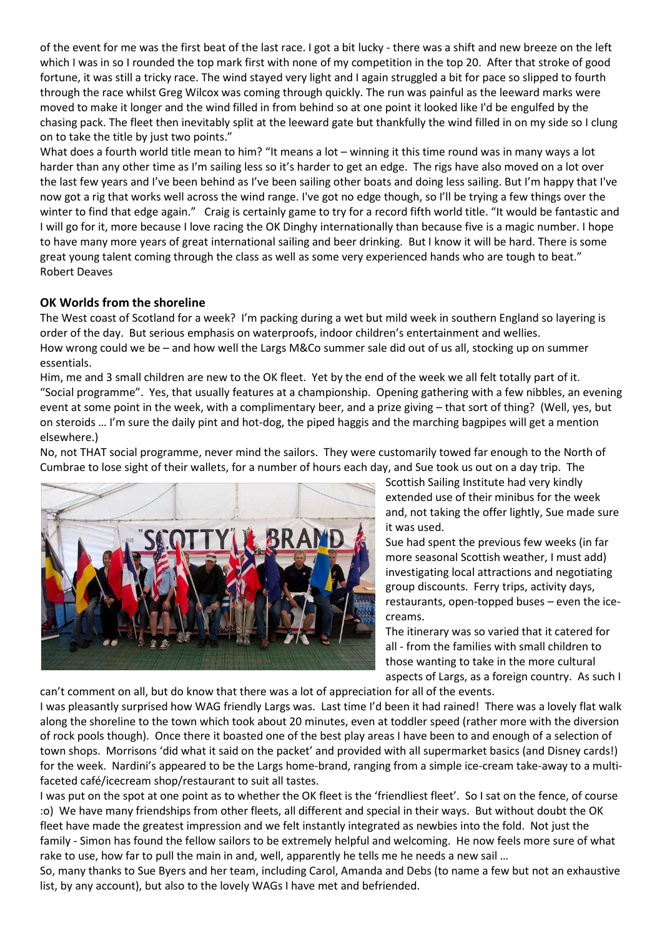of the event for me was the first beat of the last race. I got a bit lucky - there was a shift and new breeze on the left which I was in so I rounded the top mark first with none of my competition in the top 20. After that stroke of good fortune, it was still a tricky race. The wind stayed very light and I again struggled a bit for pace so slipped to fourth through the race whilst Greg Wilcox was coming through quickly. The run was painful as the leeward marks were moved to make it longer and the wind filled in from behind so at one point it looked like I'd be engulfed by the chasing pack. The fleet then inevitably split at the leeward gate but thankfully the wind filled in on my side so I clung on to take the title by just two points."

What does a fourth world title mean to him? "It means a lot – winning it this time round was in many ways a lot harder than any other time as I'm sailing less so it's harder to get an edge. The rigs have also moved on a lot over the last few years and I've been behind as I've been sailing other boats and doing less sailing. But I'm happy that I've now got a rig that works well across the wind range. I've got no edge though, so I'll be trying a few things over the winter to find that edge again." Craig is certainly game to try for a record fifth world title. "It would be fantastic and I will go for it, more because I love racing the OK Dinghy internationally than because five is a magic number. I hope to have many more years of great international sailing and beer drinking. But I know it will be hard. There is some great young talent coming through the class as well as some very experienced hands who are tough to beat." Robert Deaves

#### **OK Worlds from the shoreline**

The West coast of Scotland for a week? I'm packing during a wet but mild week in southern England so layering is order of the day. But serious emphasis on waterproofs, indoor children's entertainment and wellies. How wrong could we be – and how well the Largs M&Co summer sale did out of us all, stocking up on summer essentials.

Him, me and 3 small children are new to the OK fleet. Yet by the end of the week we all felt totally part of it. "Social programme". Yes, that usually features at a championship. Opening gathering with a few nibbles, an evening event at some point in the week, with a complimentary beer, and a prize giving – that sort of thing? (Well, yes, but on steroids … I'm sure the daily pint and hot-dog, the piped haggis and the marching bagpipes will get a mention elsewhere.)

No, not THAT social programme, never mind the sailors. They were customarily towed far enough to the North of Cumbrae to lose sight of their wallets, for a number of hours each day, and Sue took us out on a day trip. The



Scottish Sailing Institute had very kindly extended use of their minibus for the week and, not taking the offer lightly, Sue made sure it was used.

Sue had spent the previous few weeks (in far more seasonal Scottish weather, I must add) investigating local attractions and negotiating group discounts. Ferry trips, activity days, restaurants, open-topped buses – even the icecreams.

The itinerary was so varied that it catered for all - from the families with small children to those wanting to take in the more cultural aspects of Largs, as a foreign country. As such I

can't comment on all, but do know that there was a lot of appreciation for all of the events. I was pleasantly surprised how WAG friendly Largs was. Last time I'd been it had rained! There was a lovely flat walk along the shoreline to the town which took about 20 minutes, even at toddler speed (rather more with the diversion of rock pools though). Once there it boasted one of the best play areas I have been to and enough of a selection of town shops. Morrisons 'did what it said on the packet' and provided with all supermarket basics (and Disney cards!) for the week. Nardini's appeared to be the Largs home-brand, ranging from a simple ice-cream take-away to a multifaceted café/icecream shop/restaurant to suit all tastes.

I was put on the spot at one point as to whether the OK fleet is the 'friendliest fleet'. So I sat on the fence, of course :o) We have many friendships from other fleets, all different and special in their ways. But without doubt the OK fleet have made the greatest impression and we felt instantly integrated as newbies into the fold. Not just the family - Simon has found the fellow sailors to be extremely helpful and welcoming. He now feels more sure of what rake to use, how far to pull the main in and, well, apparently he tells me he needs a new sail …

So, many thanks to Sue Byers and her team, including Carol, Amanda and Debs (to name a few but not an exhaustive list, by any account), but also to the lovely WAGs I have met and befriended.